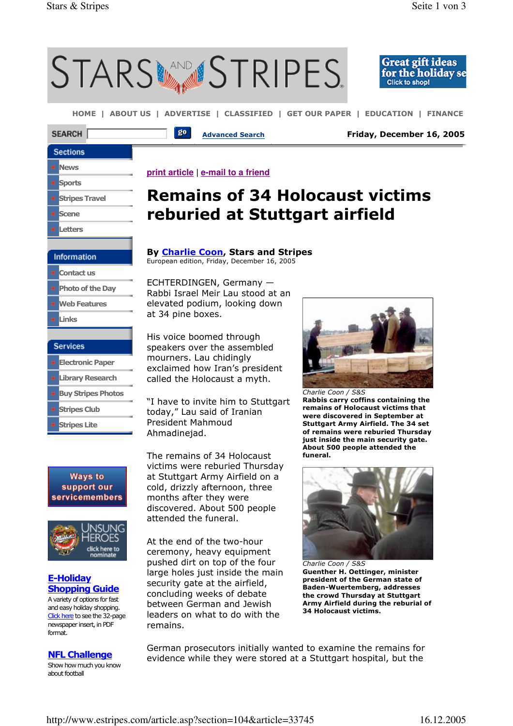**Stripes Club** Stripes Lite

**Ways to** support our servicemembers

> **EROES** click here to nominate

E-Holiday **Shopping Guide** A variety of options for fast and easy holiday shopping. Click here to see the 32-page newspaper insert, in PDF

NFL Challenge Show how much you know

format.

about football



today," Lau said of Iranian President Mahmoud Ahmadinejad.

The remains of 34 Holocaust victims were reburied Thursday at Stuttgart Army Airfield on a cold, drizzly afternoon, three months after they were discovered. About 500 people attended the funeral.

At the end of the two-hour ceremony, heavy equipment pushed dirt on top of the four large holes just inside the main security gate at the airfield, concluding weeks of debate between German and Jewish leaders on what to do with the remains.

Rabbis carry coffins containing the remains of Holocaust victims that were discovered in September at Stuttgart Army Airfield. The 34 set of remains were reburied Thursday just inside the main security gate. About 500 people attended the funeral.



Charlie Coon / S&S Guenther H. Oettinger, minister president of the German state of Baden-Wuertemberg, addresses the crowd Thursday at Stuttgart Army Airfield during the reburial of 34 Holocaust victims.

German prosecutors initially wanted to examine the remains for evidence while they were stored at a Stuttgart hospital, but the

http://www.estripes.com/article.asp?section=104&article=33745 16.12.2005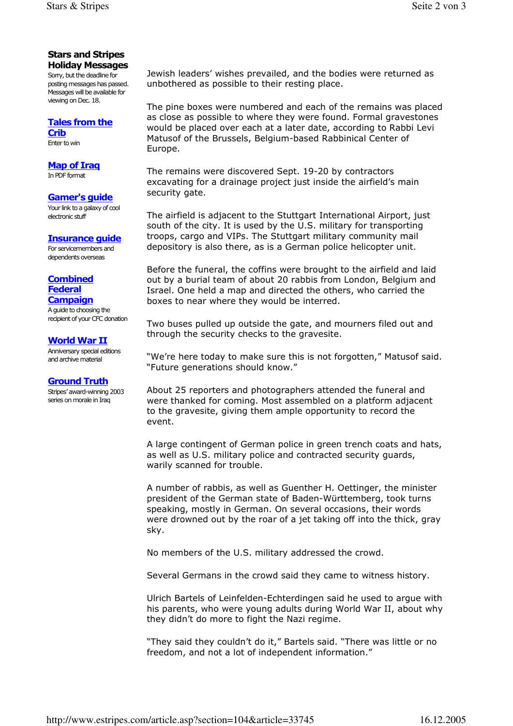#### Stars and Stripes Holiday Messages

Sorry, but the deadline for posting messages has passed. Messages will be available for viewing on Dec. 18.

# Tales from the

Crib Enter to win

## Map of Iraq

In PDF format

#### Gamer's guide

Your link to a galaxy of cool electronic stuff

## Insurance guide

For servicemembers and dependents overseas

#### **Combined** Federal **Campaign**

A guide to choosing the recipient of your CFC donation

## World War II

Anniversary special editions and archive material

#### Ground Truth

Stripes' award-winning 2003 series on morale in Iraq

Jewish leaders' wishes prevailed, and the bodies were returned as unbothered as possible to their resting place.

The pine boxes were numbered and each of the remains was placed as close as possible to where they were found. Formal gravestones would be placed over each at a later date, according to Rabbi Levi Matusof of the Brussels, Belgium-based Rabbinical Center of Europe.

The remains were discovered Sept. 19-20 by contractors excavating for a drainage project just inside the airfield's main security gate.

The airfield is adjacent to the Stuttgart International Airport, just south of the city. It is used by the U.S. military for transporting troops, cargo and VIPs. The Stuttgart military community mail depository is also there, as is a German police helicopter unit.

Before the funeral, the coffins were brought to the airfield and laid out by a burial team of about 20 rabbis from London, Belgium and Israel. One held a map and directed the others, who carried the boxes to near where they would be interred.

Two buses pulled up outside the gate, and mourners filed out and through the security checks to the gravesite.

"We're here today to make sure this is not forgotten," Matusof said. "Future generations should know."

About 25 reporters and photographers attended the funeral and were thanked for coming. Most assembled on a platform adjacent to the gravesite, giving them ample opportunity to record the event.

A large contingent of German police in green trench coats and hats, as well as U.S. military police and contracted security guards, warily scanned for trouble.

A number of rabbis, as well as Guenther H. Oettinger, the minister president of the German state of Baden-Württemberg, took turns speaking, mostly in German. On several occasions, their words were drowned out by the roar of a jet taking off into the thick, gray sky.

No members of the U.S. military addressed the crowd.

Several Germans in the crowd said they came to witness history.

Ulrich Bartels of Leinfelden-Echterdingen said he used to argue with his parents, who were young adults during World War II, about why they didn't do more to fight the Nazi regime.

"They said they couldn't do it," Bartels said. "There was little or no freedom, and not a lot of independent information."